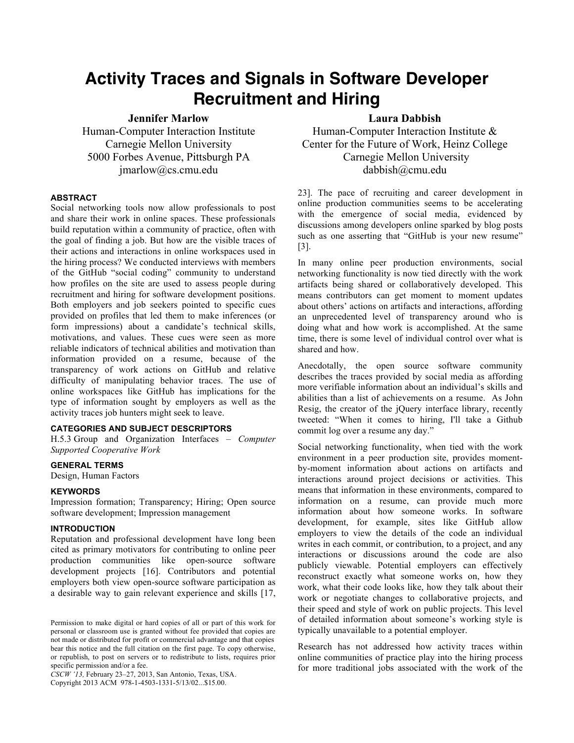# **Activity Traces and Signals in Software Developer Recruitment and Hiring**

**Jennifer Marlow**

Human-Computer Interaction Institute Carnegie Mellon University 5000 Forbes Avenue, Pittsburgh PA jmarlow@cs.cmu.edu

#### **ABSTRACT**

Social networking tools now allow professionals to post and share their work in online spaces. These professionals build reputation within a community of practice, often with the goal of finding a job. But how are the visible traces of their actions and interactions in online workspaces used in the hiring process? We conducted interviews with members of the GitHub "social coding" community to understand how profiles on the site are used to assess people during recruitment and hiring for software development positions. Both employers and job seekers pointed to specific cues provided on profiles that led them to make inferences (or form impressions) about a candidate's technical skills, motivations, and values. These cues were seen as more reliable indicators of technical abilities and motivation than information provided on a resume, because of the transparency of work actions on GitHub and relative difficulty of manipulating behavior traces. The use of online workspaces like GitHub has implications for the type of information sought by employers as well as the activity traces job hunters might seek to leave.

# **CATEGORIES AND SUBJECT DESCRIPTORS**

H.5.3 Group and Organization Interfaces – *Computer Supported Cooperative Work*

# **GENERAL TERMS**

Design, Human Factors

#### **KEYWORDS**

Impression formation; Transparency; Hiring; Open source software development; Impression management

# **INTRODUCTION**

Reputation and professional development have long been cited as primary motivators for contributing to online peer production communities like open-source software development projects [16]. Contributors and potential employers both view open-source software participation as a desirable way to gain relevant experience and skills [17,

CSCW '13, February 23-27, 2013, San Antonio, Texas, USA.

Copyright 2013 ACM 978-1-4503-1331-5/13/02...\$15.00.

# **Laura Dabbish**

Human-Computer Interaction Institute & Center for the Future of Work, Heinz College Carnegie Mellon University dabbish@cmu.edu

23]. The pace of recruiting and career development in online production communities seems to be accelerating with the emergence of social media, evidenced by discussions among developers online sparked by blog posts such as one asserting that "GitHub is your new resume" [3].

In many online peer production environments, social networking functionality is now tied directly with the work artifacts being shared or collaboratively developed. This means contributors can get moment to moment updates about others' actions on artifacts and interactions, affording an unprecedented level of transparency around who is doing what and how work is accomplished. At the same time, there is some level of individual control over what is shared and how.

Anecdotally, the open source software community describes the traces provided by social media as affording more verifiable information about an individual's skills and abilities than a list of achievements on a resume. As John Resig, the creator of the jQuery interface library, recently tweeted: "When it comes to hiring, I'll take a Github commit log over a resume any day."

Social networking functionality, when tied with the work environment in a peer production site, provides momentby-moment information about actions on artifacts and interactions around project decisions or activities. This means that information in these environments, compared to information on a resume, can provide much more information about how someone works. In software development, for example, sites like GitHub allow employers to view the details of the code an individual writes in each commit, or contribution, to a project, and any interactions or discussions around the code are also publicly viewable. Potential employers can effectively reconstruct exactly what someone works on, how they work, what their code looks like, how they talk about their work or negotiate changes to collaborative projects, and their speed and style of work on public projects. This level of detailed information about someone's working style is typically unavailable to a potential employer.

Research has not addressed how activity traces within online communities of practice play into the hiring process for more traditional jobs associated with the work of the

Permission to make digital or hard copies of all or part of this work for personal or classroom use is granted without fee provided that copies are not made or distributed for profit or commercial advantage and that copies bear this notice and the full citation on the first page. To copy otherwise, or republish, to post on servers or to redistribute to lists, requires prior specific permission and/or a fee.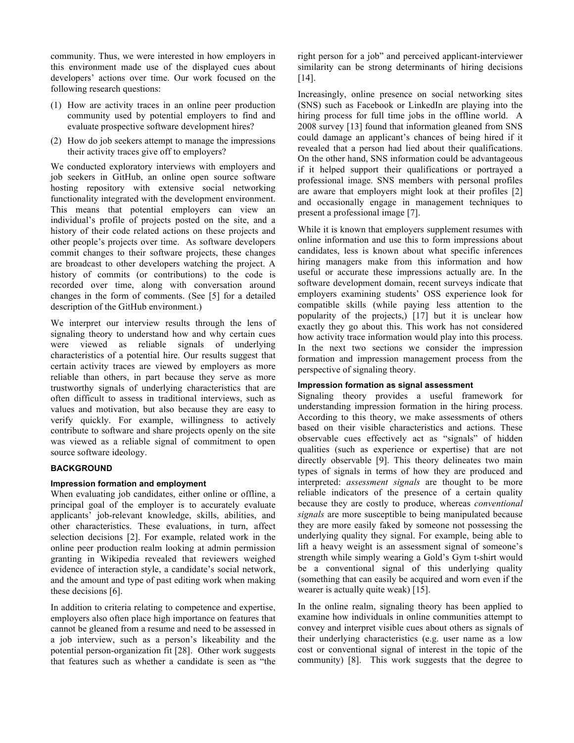community. Thus, we were interested in how employers in this environment made use of the displayed cues about developers' actions over time. Our work focused on the following research questions:

- (1) How are activity traces in an online peer production community used by potential employers to find and evaluate prospective software development hires?
- (2) How do job seekers attempt to manage the impressions their activity traces give off to employers?

We conducted exploratory interviews with employers and job seekers in GitHub, an online open source software hosting repository with extensive social networking functionality integrated with the development environment. This means that potential employers can view an individual's profile of projects posted on the site, and a history of their code related actions on these projects and other people's projects over time. As software developers commit changes to their software projects, these changes are broadcast to other developers watching the project. A history of commits (or contributions) to the code is recorded over time, along with conversation around changes in the form of comments. (See [5] for a detailed description of the GitHub environment.)

We interpret our interview results through the lens of signaling theory to understand how and why certain cues were viewed as reliable signals of underlying characteristics of a potential hire. Our results suggest that certain activity traces are viewed by employers as more reliable than others, in part because they serve as more trustworthy signals of underlying characteristics that are often difficult to assess in traditional interviews, such as values and motivation, but also because they are easy to verify quickly. For example, willingness to actively contribute to software and share projects openly on the site was viewed as a reliable signal of commitment to open source software ideology.

# **BACKGROUND**

# **Impression formation and employment**

When evaluating job candidates, either online or offline, a principal goal of the employer is to accurately evaluate applicants' job-relevant knowledge, skills, abilities, and other characteristics. These evaluations, in turn, affect selection decisions [2]. For example, related work in the online peer production realm looking at admin permission granting in Wikipedia revealed that reviewers weighed evidence of interaction style, a candidate's social network, and the amount and type of past editing work when making these decisions [6].

In addition to criteria relating to competence and expertise, employers also often place high importance on features that cannot be gleaned from a resume and need to be assessed in a job interview, such as a person's likeability and the potential person-organization fit [28]. Other work suggests that features such as whether a candidate is seen as "the right person for a job" and perceived applicant-interviewer similarity can be strong determinants of hiring decisions [14].

Increasingly, online presence on social networking sites (SNS) such as Facebook or LinkedIn are playing into the hiring process for full time jobs in the offline world. A 2008 survey [13] found that information gleaned from SNS could damage an applicant's chances of being hired if it revealed that a person had lied about their qualifications. On the other hand, SNS information could be advantageous if it helped support their qualifications or portrayed a professional image. SNS members with personal profiles are aware that employers might look at their profiles [2] and occasionally engage in management techniques to present a professional image [7].

While it is known that employers supplement resumes with online information and use this to form impressions about candidates, less is known about what specific inferences hiring managers make from this information and how useful or accurate these impressions actually are. In the software development domain, recent surveys indicate that employers examining students' OSS experience look for compatible skills (while paying less attention to the popularity of the projects,) [17] but it is unclear how exactly they go about this. This work has not considered how activity trace information would play into this process. In the next two sections we consider the impression formation and impression management process from the perspective of signaling theory.

# **Impression formation as signal assessment**

Signaling theory provides a useful framework for understanding impression formation in the hiring process. According to this theory, we make assessments of others based on their visible characteristics and actions. These observable cues effectively act as "signals" of hidden qualities (such as experience or expertise) that are not directly observable [9]. This theory delineates two main types of signals in terms of how they are produced and interpreted: *assessment signals* are thought to be more reliable indicators of the presence of a certain quality because they are costly to produce, whereas *conventional signals* are more susceptible to being manipulated because they are more easily faked by someone not possessing the underlying quality they signal. For example, being able to lift a heavy weight is an assessment signal of someone's strength while simply wearing a Gold's Gym t-shirt would be a conventional signal of this underlying quality (something that can easily be acquired and worn even if the wearer is actually quite weak) [15].

In the online realm, signaling theory has been applied to examine how individuals in online communities attempt to convey and interpret visible cues about others as signals of their underlying characteristics (e.g. user name as a low cost or conventional signal of interest in the topic of the community) [8]. This work suggests that the degree to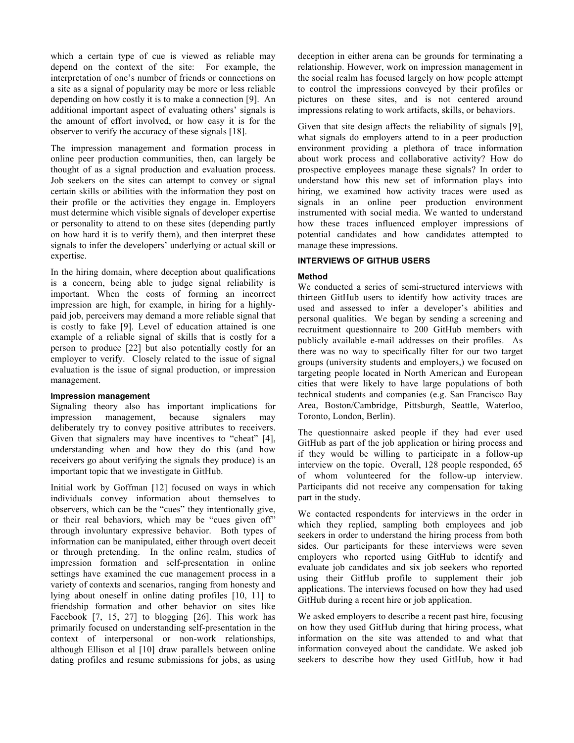which a certain type of cue is viewed as reliable may depend on the context of the site: For example, the interpretation of one's number of friends or connections on a site as a signal of popularity may be more or less reliable depending on how costly it is to make a connection [9]. An additional important aspect of evaluating others' signals is the amount of effort involved, or how easy it is for the observer to verify the accuracy of these signals [18].

The impression management and formation process in online peer production communities, then, can largely be thought of as a signal production and evaluation process. Job seekers on the sites can attempt to convey or signal certain skills or abilities with the information they post on their profile or the activities they engage in. Employers must determine which visible signals of developer expertise or personality to attend to on these sites (depending partly on how hard it is to verify them), and then interpret these signals to infer the developers' underlying or actual skill or expertise.

In the hiring domain, where deception about qualifications is a concern, being able to judge signal reliability is important. When the costs of forming an incorrect impression are high, for example, in hiring for a highlypaid job, perceivers may demand a more reliable signal that is costly to fake [9]. Level of education attained is one example of a reliable signal of skills that is costly for a person to produce [22] but also potentially costly for an employer to verify. Closely related to the issue of signal evaluation is the issue of signal production, or impression management.

#### **Impression management**

Signaling theory also has important implications for impression management, because signalers may deliberately try to convey positive attributes to receivers. Given that signalers may have incentives to "cheat" [4], understanding when and how they do this (and how receivers go about verifying the signals they produce) is an important topic that we investigate in GitHub.

Initial work by Goffman [12] focused on ways in which individuals convey information about themselves to observers, which can be the "cues" they intentionally give, or their real behaviors, which may be "cues given off" through involuntary expressive behavior. Both types of information can be manipulated, either through overt deceit or through pretending. In the online realm, studies of impression formation and self-presentation in online settings have examined the cue management process in a variety of contexts and scenarios, ranging from honesty and lying about oneself in online dating profiles [10, 11] to friendship formation and other behavior on sites like Facebook [7, 15, 27] to blogging [26]. This work has primarily focused on understanding self-presentation in the context of interpersonal or non-work relationships, although Ellison et al [10] draw parallels between online dating profiles and resume submissions for jobs, as using

deception in either arena can be grounds for terminating a relationship. However, work on impression management in the social realm has focused largely on how people attempt to control the impressions conveyed by their profiles or pictures on these sites, and is not centered around impressions relating to work artifacts, skills, or behaviors.

Given that site design affects the reliability of signals [9], what signals do employers attend to in a peer production environment providing a plethora of trace information about work process and collaborative activity? How do prospective employees manage these signals? In order to understand how this new set of information plays into hiring, we examined how activity traces were used as signals in an online peer production environment instrumented with social media. We wanted to understand how these traces influenced employer impressions of potential candidates and how candidates attempted to manage these impressions.

# **INTERVIEWS OF GITHUB USERS**

#### **Method**

We conducted a series of semi-structured interviews with thirteen GitHub users to identify how activity traces are used and assessed to infer a developer's abilities and personal qualities. We began by sending a screening and recruitment questionnaire to 200 GitHub members with publicly available e-mail addresses on their profiles. As there was no way to specifically filter for our two target groups (university students and employers,) we focused on targeting people located in North American and European cities that were likely to have large populations of both technical students and companies (e.g. San Francisco Bay Area, Boston/Cambridge, Pittsburgh, Seattle, Waterloo, Toronto, London, Berlin).

The questionnaire asked people if they had ever used GitHub as part of the job application or hiring process and if they would be willing to participate in a follow-up interview on the topic. Overall, 128 people responded, 65 of whom volunteered for the follow-up interview. Participants did not receive any compensation for taking part in the study.

We contacted respondents for interviews in the order in which they replied, sampling both employees and job seekers in order to understand the hiring process from both sides. Our participants for these interviews were seven employers who reported using GitHub to identify and evaluate job candidates and six job seekers who reported using their GitHub profile to supplement their job applications. The interviews focused on how they had used GitHub during a recent hire or job application.

We asked employers to describe a recent past hire, focusing on how they used GitHub during that hiring process, what information on the site was attended to and what that information conveyed about the candidate. We asked job seekers to describe how they used GitHub, how it had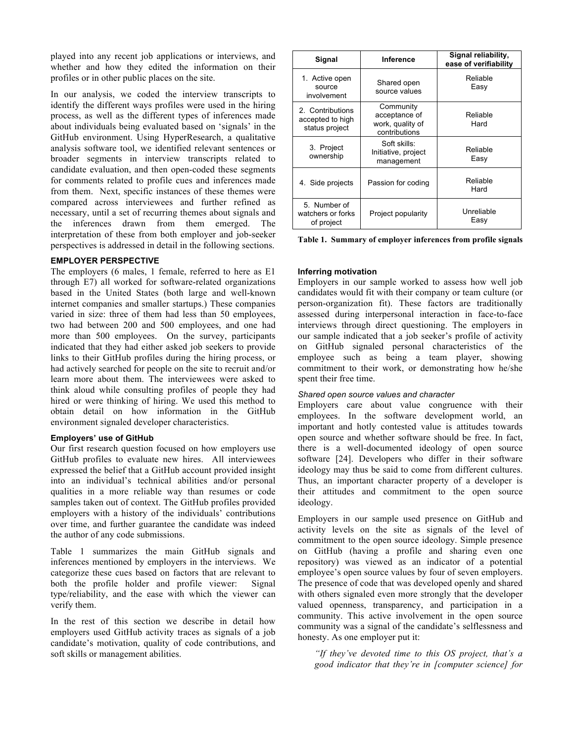played into any recent job applications or interviews, and whether and how they edited the information on their profiles or in other public places on the site.

In our analysis, we coded the interview transcripts to identify the different ways profiles were used in the hiring process, as well as the different types of inferences made about individuals being evaluated based on 'signals' in the GitHub environment. Using HyperResearch, a qualitative analysis software tool, we identified relevant sentences or broader segments in interview transcripts related to candidate evaluation, and then open-coded these segments for comments related to profile cues and inferences made from them. Next, specific instances of these themes were compared across interviewees and further refined as necessary, until a set of recurring themes about signals and the inferences drawn from them emerged. The interpretation of these from both employer and job-seeker perspectives is addressed in detail in the following sections.

# **EMPLOYER PERSPECTIVE**

The employers (6 males, 1 female, referred to here as E1 through E7) all worked for software-related organizations based in the United States (both large and well-known internet companies and smaller startups.) These companies varied in size: three of them had less than 50 employees, two had between 200 and 500 employees, and one had more than 500 employees. On the survey, participants indicated that they had either asked job seekers to provide links to their GitHub profiles during the hiring process, or had actively searched for people on the site to recruit and/or learn more about them. The interviewees were asked to think aloud while consulting profiles of people they had hired or were thinking of hiring. We used this method to obtain detail on how information in the GitHub environment signaled developer characteristics.

# **Employers' use of GitHub**

Our first research question focused on how employers use GitHub profiles to evaluate new hires.All interviewees expressed the belief that a GitHub account provided insight into an individual's technical abilities and/or personal qualities in a more reliable way than resumes or code samples taken out of context. The GitHub profiles provided employers with a history of the individuals' contributions over time, and further guarantee the candidate was indeed the author of any code submissions.

Table 1 summarizes the main GitHub signals and inferences mentioned by employers in the interviews. We categorize these cues based on factors that are relevant to both the profile holder and profile viewer: Signal type/reliability, and the ease with which the viewer can verify them.

In the rest of this section we describe in detail how employers used GitHub activity traces as signals of a job candidate's motivation, quality of code contributions, and soft skills or management abilities.

| Signal                                                 | <b>Inference</b>                                                | Signal reliability,<br>ease of verifiability |
|--------------------------------------------------------|-----------------------------------------------------------------|----------------------------------------------|
| 1. Active open<br>source<br>involvement                | Shared open<br>source values                                    | Reliable<br>Easy                             |
| 2. Contributions<br>accepted to high<br>status project | Community<br>acceptance of<br>work, quality of<br>contributions | Reliable<br>Hard                             |
| 3. Project<br>ownership                                | Soft skills:<br>Initiative, project<br>management               | Reliable<br>Easy                             |
| 4. Side projects                                       | Passion for coding                                              | Reliable<br>Hard                             |
| 5. Number of<br>watchers or forks<br>of project        | Project popularity                                              | Unreliable<br>Easy                           |

**Table 1. Summary of employer inferences from profile signals**

# **Inferring motivation**

Employers in our sample worked to assess how well job candidates would fit with their company or team culture (or person-organization fit). These factors are traditionally assessed during interpersonal interaction in face-to-face interviews through direct questioning. The employers in our sample indicated that a job seeker's profile of activity on GitHub signaled personal characteristics of the employee such as being a team player, showing commitment to their work, or demonstrating how he/she spent their free time.

# *Shared open source values and character*

Employers care about value congruence with their employees. In the software development world, an important and hotly contested value is attitudes towards open source and whether software should be free. In fact, there is a well-documented ideology of open source software [24]. Developers who differ in their software ideology may thus be said to come from different cultures. Thus, an important character property of a developer is their attitudes and commitment to the open source ideology.

Employers in our sample used presence on GitHub and activity levels on the site as signals of the level of commitment to the open source ideology. Simple presence on GitHub (having a profile and sharing even one repository) was viewed as an indicator of a potential employee's open source values by four of seven employers. The presence of code that was developed openly and shared with others signaled even more strongly that the developer valued openness, transparency, and participation in a community. This active involvement in the open source community was a signal of the candidate's selflessness and honesty. As one employer put it:

*"If they've devoted time to this OS project, that's a good indicator that they're in [computer science] for*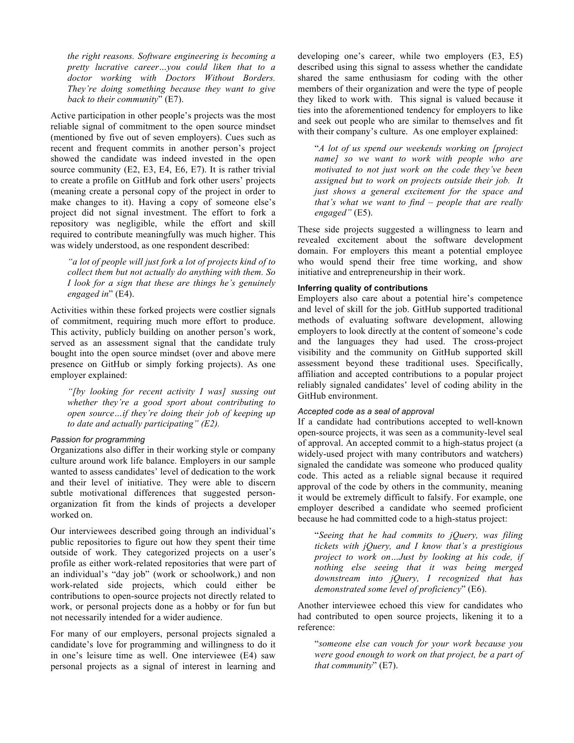*the right reasons. Software engineering is becoming a pretty lucrative career…you could liken that to a doctor working with Doctors Without Borders. They're doing something because they want to give back to their community*" (E7).

Active participation in other people's projects was the most reliable signal of commitment to the open source mindset (mentioned by five out of seven employers). Cues such as recent and frequent commits in another person's project showed the candidate was indeed invested in the open source community (E2, E3, E4, E6, E7). It is rather trivial to create a profile on GitHub and fork other users' projects (meaning create a personal copy of the project in order to make changes to it). Having a copy of someone else's project did not signal investment. The effort to fork a repository was negligible, while the effort and skill required to contribute meaningfully was much higher. This was widely understood, as one respondent described:

*"a lot of people will just fork a lot of projects kind of to collect them but not actually do anything with them. So I look for a sign that these are things he's genuinely engaged in*" (E4).

Activities within these forked projects were costlier signals of commitment, requiring much more effort to produce. This activity, publicly building on another person's work, served as an assessment signal that the candidate truly bought into the open source mindset (over and above mere presence on GitHub or simply forking projects). As one employer explained:

*"[by looking for recent activity I was] sussing out whether they're a good sport about contributing to open source…if they're doing their job of keeping up to date and actually participating" (E2).*

# *Passion for programming*

Organizations also differ in their working style or company culture around work life balance. Employers in our sample wanted to assess candidates' level of dedication to the work and their level of initiative. They were able to discern subtle motivational differences that suggested personorganization fit from the kinds of projects a developer worked on.

Our interviewees described going through an individual's public repositories to figure out how they spent their time outside of work. They categorized projects on a user's profile as either work-related repositories that were part of an individual's "day job" (work or schoolwork,) and non work-related side projects, which could either be contributions to open-source projects not directly related to work, or personal projects done as a hobby or for fun but not necessarily intended for a wider audience.

For many of our employers, personal projects signaled a candidate's love for programming and willingness to do it in one's leisure time as well. One interviewee (E4) saw personal projects as a signal of interest in learning and

developing one's career, while two employers (E3, E5) described using this signal to assess whether the candidate shared the same enthusiasm for coding with the other members of their organization and were the type of people they liked to work with. This signal is valued because it ties into the aforementioned tendency for employers to like and seek out people who are similar to themselves and fit with their company's culture. As one employer explained:

"*A lot of us spend our weekends working on [project name] so we want to work with people who are motivated to not just work on the code they've been assigned but to work on projects outside their job. It just shows a general excitement for the space and that's what we want to find – people that are really engaged"* (E5).

These side projects suggested a willingness to learn and revealed excitement about the software development domain. For employers this meant a potential employee who would spend their free time working, and show initiative and entrepreneurship in their work.

# **Inferring quality of contributions**

Employers also care about a potential hire's competence and level of skill for the job. GitHub supported traditional methods of evaluating software development, allowing employers to look directly at the content of someone's code and the languages they had used. The cross-project visibility and the community on GitHub supported skill assessment beyond these traditional uses. Specifically, affiliation and accepted contributions to a popular project reliably signaled candidates' level of coding ability in the GitHub environment.

# *Accepted code as a seal of approval*

If a candidate had contributions accepted to well-known open-source projects, it was seen as a community-level seal of approval. An accepted commit to a high-status project (a widely-used project with many contributors and watchers) signaled the candidate was someone who produced quality code. This acted as a reliable signal because it required approval of the code by others in the community, meaning it would be extremely difficult to falsify. For example, one employer described a candidate who seemed proficient because he had committed code to a high-status project:

"*Seeing that he had commits to jQuery, was filing tickets with jQuery, and I know that's a prestigious project to work on…Just by looking at his code, if nothing else seeing that it was being merged downstream into jQuery, I recognized that has demonstrated some level of proficiency*" (E6).

Another interviewee echoed this view for candidates who had contributed to open source projects, likening it to a reference:

"*someone else can vouch for your work because you were good enough to work on that project, be a part of that community*" (E7).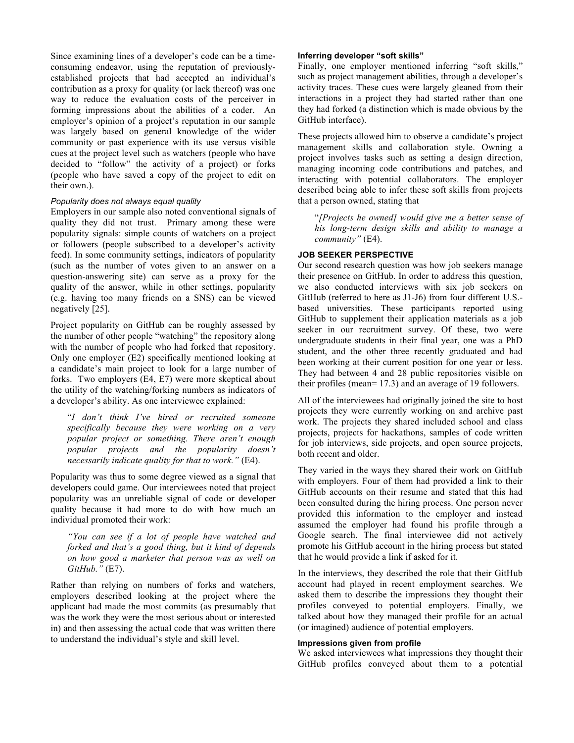Since examining lines of a developer's code can be a timeconsuming endeavor, using the reputation of previouslyestablished projects that had accepted an individual's contribution as a proxy for quality (or lack thereof) was one way to reduce the evaluation costs of the perceiver in forming impressions about the abilities of a coder. An employer's opinion of a project's reputation in our sample was largely based on general knowledge of the wider community or past experience with its use versus visible cues at the project level such as watchers (people who have decided to "follow" the activity of a project) or forks (people who have saved a copy of the project to edit on their own.).

# *Popularity does not always equal quality*

Employers in our sample also noted conventional signals of quality they did not trust. Primary among these were popularity signals: simple counts of watchers on a project or followers (people subscribed to a developer's activity feed). In some community settings, indicators of popularity (such as the number of votes given to an answer on a question-answering site) can serve as a proxy for the quality of the answer, while in other settings, popularity (e.g. having too many friends on a SNS) can be viewed negatively [25].

Project popularity on GitHub can be roughly assessed by the number of other people "watching" the repository along with the number of people who had forked that repository. Only one employer (E2) specifically mentioned looking at a candidate's main project to look for a large number of forks. Two employers (E4, E7) were more skeptical about the utility of the watching/forking numbers as indicators of a developer's ability. As one interviewee explained:

"*I don't think I've hired or recruited someone specifically because they were working on a very popular project or something. There aren't enough popular projects and the popularity doesn't necessarily indicate quality for that to work."* (E4).

Popularity was thus to some degree viewed as a signal that developers could game. Our interviewees noted that project popularity was an unreliable signal of code or developer quality because it had more to do with how much an individual promoted their work:

*"You can see if a lot of people have watched and forked and that's a good thing, but it kind of depends on how good a marketer that person was as well on GitHub."* (E7).

Rather than relying on numbers of forks and watchers, employers described looking at the project where the applicant had made the most commits (as presumably that was the work they were the most serious about or interested in) and then assessing the actual code that was written there to understand the individual's style and skill level.

#### **Inferring developer "soft skills"**

Finally, one employer mentioned inferring "soft skills," such as project management abilities, through a developer's activity traces. These cues were largely gleaned from their interactions in a project they had started rather than one they had forked (a distinction which is made obvious by the GitHub interface).

These projects allowed him to observe a candidate's project management skills and collaboration style. Owning a project involves tasks such as setting a design direction, managing incoming code contributions and patches, and interacting with potential collaborators. The employer described being able to infer these soft skills from projects that a person owned, stating that

"*[Projects he owned] would give me a better sense of his long-term design skills and ability to manage a community"* (E4).

# **JOB SEEKER PERSPECTIVE**

Our second research question was how job seekers manage their presence on GitHub. In order to address this question, we also conducted interviews with six job seekers on GitHub (referred to here as J1-J6) from four different U.S. based universities. These participants reported using GitHub to supplement their application materials as a job seeker in our recruitment survey. Of these, two were undergraduate students in their final year, one was a PhD student, and the other three recently graduated and had been working at their current position for one year or less. They had between 4 and 28 public repositories visible on their profiles (mean= 17.3) and an average of 19 followers.

All of the interviewees had originally joined the site to host projects they were currently working on and archive past work. The projects they shared included school and class projects, projects for hackathons, samples of code written for job interviews, side projects, and open source projects, both recent and older.

They varied in the ways they shared their work on GitHub with employers. Four of them had provided a link to their GitHub accounts on their resume and stated that this had been consulted during the hiring process. One person never provided this information to the employer and instead assumed the employer had found his profile through a Google search. The final interviewee did not actively promote his GitHub account in the hiring process but stated that he would provide a link if asked for it.

In the interviews, they described the role that their GitHub account had played in recent employment searches. We asked them to describe the impressions they thought their profiles conveyed to potential employers. Finally, we talked about how they managed their profile for an actual (or imagined) audience of potential employers.

# **Impressions given from profile**

We asked interviewees what impressions they thought their GitHub profiles conveyed about them to a potential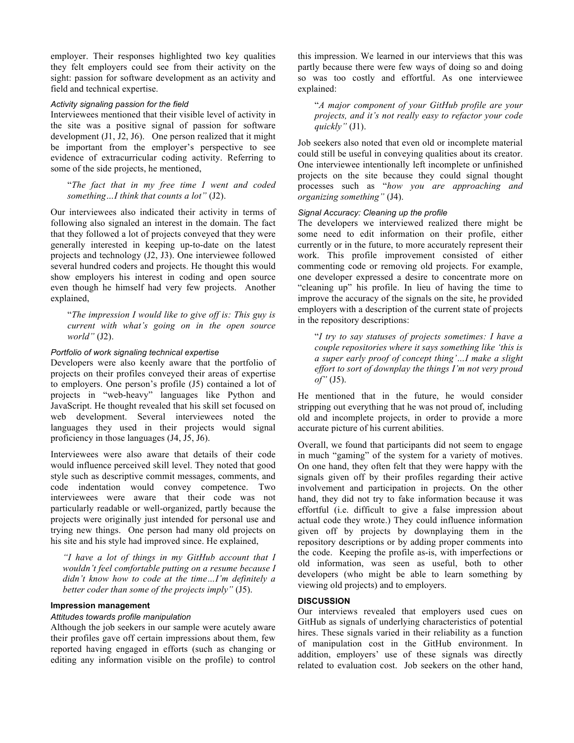employer. Their responses highlighted two key qualities they felt employers could see from their activity on the sight: passion for software development as an activity and field and technical expertise.

#### *Activity signaling passion for the field*

Interviewees mentioned that their visible level of activity in the site was a positive signal of passion for software development (J1, J2, J6). One person realized that it might be important from the employer's perspective to see evidence of extracurricular coding activity. Referring to some of the side projects, he mentioned,

"*The fact that in my free time I went and coded something…I think that counts a lot"* (J2).

Our interviewees also indicated their activity in terms of following also signaled an interest in the domain. The fact that they followed a lot of projects conveyed that they were generally interested in keeping up-to-date on the latest projects and technology (J2, J3). One interviewee followed several hundred coders and projects. He thought this would show employers his interest in coding and open source even though he himself had very few projects. Another explained,

"*The impression I would like to give off is: This guy is current with what's going on in the open source world"* (J2).

# *Portfolio of work signaling technical expertise*

Developers were also keenly aware that the portfolio of projects on their profiles conveyed their areas of expertise to employers. One person's profile (J5) contained a lot of projects in "web-heavy" languages like Python and JavaScript. He thought revealed that his skill set focused on web development. Several interviewees noted the languages they used in their projects would signal proficiency in those languages (J4, J5, J6).

Interviewees were also aware that details of their code would influence perceived skill level. They noted that good style such as descriptive commit messages, comments, and code indentation would convey competence. Two interviewees were aware that their code was not particularly readable or well-organized, partly because the projects were originally just intended for personal use and trying new things. One person had many old projects on his site and his style had improved since. He explained,

*"I have a lot of things in my GitHub account that I wouldn't feel comfortable putting on a resume because I didn't know how to code at the time…I'm definitely a better coder than some of the projects imply"* (J5).

# **Impression management**

# *Attitudes towards profile manipulation*

Although the job seekers in our sample were acutely aware their profiles gave off certain impressions about them, few reported having engaged in efforts (such as changing or editing any information visible on the profile) to control

this impression. We learned in our interviews that this was partly because there were few ways of doing so and doing so was too costly and effortful. As one interviewee explained:

"*A major component of your GitHub profile are your projects, and it's not really easy to refactor your code quickly"* (J1).

Job seekers also noted that even old or incomplete material could still be useful in conveying qualities about its creator. One interviewee intentionally left incomplete or unfinished projects on the site because they could signal thought processes such as "*how you are approaching and organizing something"* (J4).

# *Signal Accuracy: Cleaning up the profile*

The developers we interviewed realized there might be some need to edit information on their profile, either currently or in the future, to more accurately represent their work. This profile improvement consisted of either commenting code or removing old projects. For example, one developer expressed a desire to concentrate more on "cleaning up" his profile. In lieu of having the time to improve the accuracy of the signals on the site, he provided employers with a description of the current state of projects in the repository descriptions:

"*I try to say statuses of projects sometimes: I have a couple repositories where it says something like 'this is a super early proof of concept thing'…I make a slight effort to sort of downplay the things I'm not very proud of"* (J5).

He mentioned that in the future, he would consider stripping out everything that he was not proud of, including old and incomplete projects, in order to provide a more accurate picture of his current abilities.

Overall, we found that participants did not seem to engage in much "gaming" of the system for a variety of motives. On one hand, they often felt that they were happy with the signals given off by their profiles regarding their active involvement and participation in projects. On the other hand, they did not try to fake information because it was effortful (i.e. difficult to give a false impression about actual code they wrote.) They could influence information given off by projects by downplaying them in the repository descriptions or by adding proper comments into the code. Keeping the profile as-is, with imperfections or old information, was seen as useful, both to other developers (who might be able to learn something by viewing old projects) and to employers.

# **DISCUSSION**

Our interviews revealed that employers used cues on GitHub as signals of underlying characteristics of potential hires. These signals varied in their reliability as a function of manipulation cost in the GitHub environment. In addition, employers' use of these signals was directly related to evaluation cost. Job seekers on the other hand,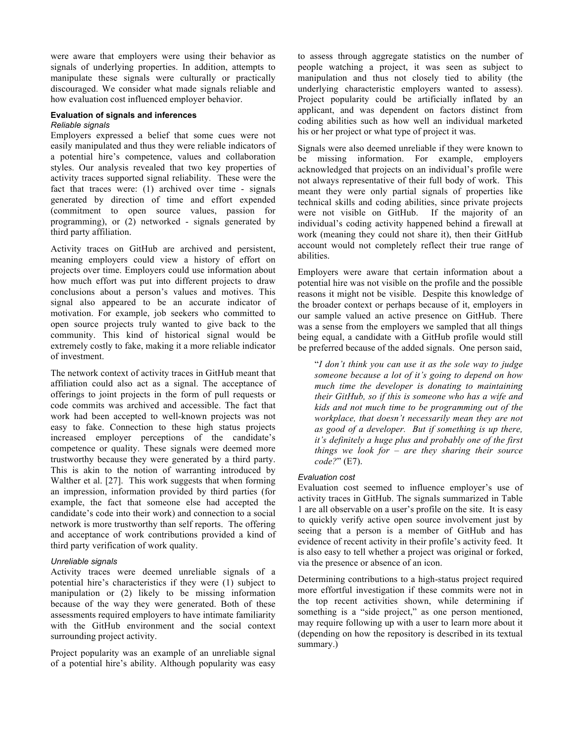were aware that employers were using their behavior as signals of underlying properties. In addition, attempts to manipulate these signals were culturally or practically discouraged. We consider what made signals reliable and how evaluation cost influenced employer behavior.

#### **Evaluation of signals and inferences** *Reliable signals*

Employers expressed a belief that some cues were not easily manipulated and thus they were reliable indicators of a potential hire's competence, values and collaboration styles. Our analysis revealed that two key properties of activity traces supported signal reliability. These were the fact that traces were: (1) archived over time - signals generated by direction of time and effort expended (commitment to open source values, passion for programming), or (2) networked - signals generated by third party affiliation.

Activity traces on GitHub are archived and persistent, meaning employers could view a history of effort on projects over time. Employers could use information about how much effort was put into different projects to draw conclusions about a person's values and motives. This signal also appeared to be an accurate indicator of motivation. For example, job seekers who committed to open source projects truly wanted to give back to the community. This kind of historical signal would be extremely costly to fake, making it a more reliable indicator of investment.

The network context of activity traces in GitHub meant that affiliation could also act as a signal. The acceptance of offerings to joint projects in the form of pull requests or code commits was archived and accessible. The fact that work had been accepted to well-known projects was not easy to fake. Connection to these high status projects increased employer perceptions of the candidate's competence or quality. These signals were deemed more trustworthy because they were generated by a third party. This is akin to the notion of warranting introduced by Walther et al. [27]. This work suggests that when forming an impression, information provided by third parties (for example, the fact that someone else had accepted the candidate's code into their work) and connection to a social network is more trustworthy than self reports. The offering and acceptance of work contributions provided a kind of third party verification of work quality.

# *Unreliable signals*

Activity traces were deemed unreliable signals of a potential hire's characteristics if they were (1) subject to manipulation or (2) likely to be missing information because of the way they were generated. Both of these assessments required employers to have intimate familiarity with the GitHub environment and the social context surrounding project activity.

Project popularity was an example of an unreliable signal of a potential hire's ability. Although popularity was easy

to assess through aggregate statistics on the number of people watching a project, it was seen as subject to manipulation and thus not closely tied to ability (the underlying characteristic employers wanted to assess). Project popularity could be artificially inflated by an applicant, and was dependent on factors distinct from coding abilities such as how well an individual marketed his or her project or what type of project it was.

Signals were also deemed unreliable if they were known to be missing information. For example, employers acknowledged that projects on an individual's profile were not always representative of their full body of work. This meant they were only partial signals of properties like technical skills and coding abilities, since private projects were not visible on GitHub. If the majority of an individual's coding activity happened behind a firewall at work (meaning they could not share it), then their GitHub account would not completely reflect their true range of abilities.

Employers were aware that certain information about a potential hire was not visible on the profile and the possible reasons it might not be visible. Despite this knowledge of the broader context or perhaps because of it, employers in our sample valued an active presence on GitHub. There was a sense from the employers we sampled that all things being equal, a candidate with a GitHub profile would still be preferred because of the added signals. One person said,

"*I don't think you can use it as the sole way to judge someone because a lot of it's going to depend on how much time the developer is donating to maintaining their GitHub, so if this is someone who has a wife and kids and not much time to be programming out of the workplace, that doesn't necessarily mean they are not as good of a developer. But if something is up there, it's definitely a huge plus and probably one of the first things we look for – are they sharing their source code?*" (E7).

# *Evaluation cost*

Evaluation cost seemed to influence employer's use of activity traces in GitHub. The signals summarized in Table 1 are all observable on a user's profile on the site. It is easy to quickly verify active open source involvement just by seeing that a person is a member of GitHub and has evidence of recent activity in their profile's activity feed. It is also easy to tell whether a project was original or forked, via the presence or absence of an icon.

Determining contributions to a high-status project required more effortful investigation if these commits were not in the top recent activities shown, while determining if something is a "side project," as one person mentioned, may require following up with a user to learn more about it (depending on how the repository is described in its textual summary.)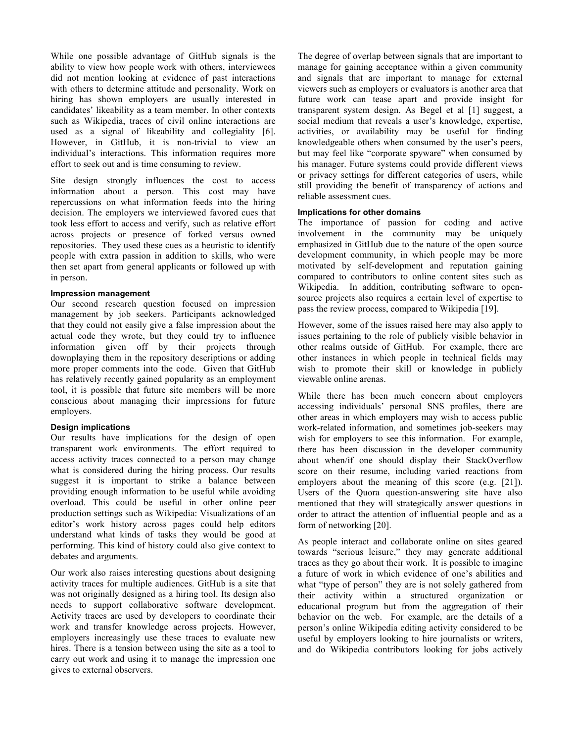While one possible advantage of GitHub signals is the ability to view how people work with others, interviewees did not mention looking at evidence of past interactions with others to determine attitude and personality. Work on hiring has shown employers are usually interested in candidates' likeability as a team member. In other contexts such as Wikipedia, traces of civil online interactions are used as a signal of likeability and collegiality [6]. However, in GitHub, it is non-trivial to view an individual's interactions. This information requires more effort to seek out and is time consuming to review.

Site design strongly influences the cost to access information about a person. This cost may have repercussions on what information feeds into the hiring decision. The employers we interviewed favored cues that took less effort to access and verify, such as relative effort across projects or presence of forked versus owned repositories. They used these cues as a heuristic to identify people with extra passion in addition to skills, who were then set apart from general applicants or followed up with in person.

#### **Impression management**

Our second research question focused on impression management by job seekers. Participants acknowledged that they could not easily give a false impression about the actual code they wrote, but they could try to influence information given off by their projects through downplaying them in the repository descriptions or adding more proper comments into the code. Given that GitHub has relatively recently gained popularity as an employment tool, it is possible that future site members will be more conscious about managing their impressions for future employers.

# **Design implications**

Our results have implications for the design of open transparent work environments. The effort required to access activity traces connected to a person may change what is considered during the hiring process. Our results suggest it is important to strike a balance between providing enough information to be useful while avoiding overload. This could be useful in other online peer production settings such as Wikipedia: Visualizations of an editor's work history across pages could help editors understand what kinds of tasks they would be good at performing. This kind of history could also give context to debates and arguments.

Our work also raises interesting questions about designing activity traces for multiple audiences. GitHub is a site that was not originally designed as a hiring tool. Its design also needs to support collaborative software development. Activity traces are used by developers to coordinate their work and transfer knowledge across projects. However, employers increasingly use these traces to evaluate new hires. There is a tension between using the site as a tool to carry out work and using it to manage the impression one gives to external observers.

The degree of overlap between signals that are important to manage for gaining acceptance within a given community and signals that are important to manage for external viewers such as employers or evaluators is another area that future work can tease apart and provide insight for transparent system design. As Begel et al [1] suggest, a social medium that reveals a user's knowledge, expertise, activities, or availability may be useful for finding knowledgeable others when consumed by the user's peers, but may feel like "corporate spyware" when consumed by his manager. Future systems could provide different views or privacy settings for different categories of users, while still providing the benefit of transparency of actions and reliable assessment cues.

#### **Implications for other domains**

The importance of passion for coding and active involvement in the community may be uniquely emphasized in GitHub due to the nature of the open source development community, in which people may be more motivated by self-development and reputation gaining compared to contributors to online content sites such as Wikipedia. In addition, contributing software to opensource projects also requires a certain level of expertise to pass the review process, compared to Wikipedia [19].

However, some of the issues raised here may also apply to issues pertaining to the role of publicly visible behavior in other realms outside of GitHub. For example, there are other instances in which people in technical fields may wish to promote their skill or knowledge in publicly viewable online arenas.

While there has been much concern about employers accessing individuals' personal SNS profiles, there are other areas in which employers may wish to access public work-related information, and sometimes job-seekers may wish for employers to see this information. For example, there has been discussion in the developer community about when/if one should display their StackOverflow score on their resume, including varied reactions from employers about the meaning of this score (e.g. [21]). Users of the Quora question-answering site have also mentioned that they will strategically answer questions in order to attract the attention of influential people and as a form of networking [20].

As people interact and collaborate online on sites geared towards "serious leisure," they may generate additional traces as they go about their work. It is possible to imagine a future of work in which evidence of one's abilities and what "type of person" they are is not solely gathered from their activity within a structured organization or educational program but from the aggregation of their behavior on the web. For example, are the details of a person's online Wikipedia editing activity considered to be useful by employers looking to hire journalists or writers, and do Wikipedia contributors looking for jobs actively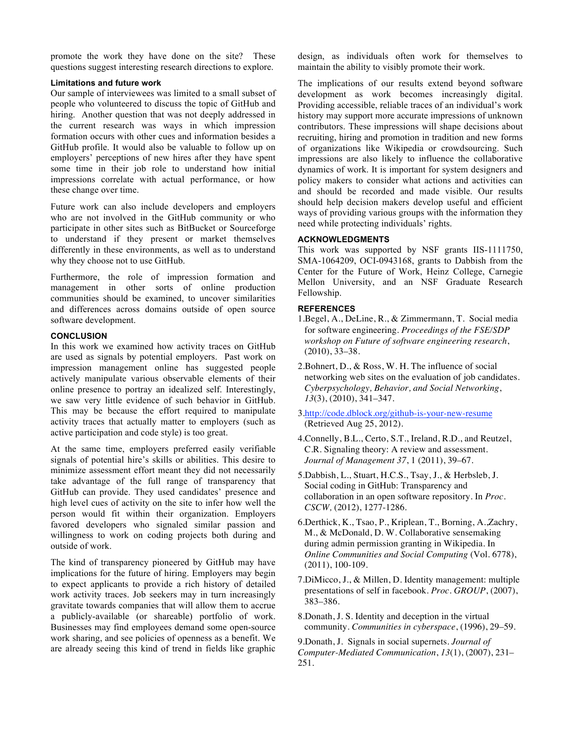promote the work they have done on the site? These questions suggest interesting research directions to explore.

# **Limitations and future work**

Our sample of interviewees was limited to a small subset of people who volunteered to discuss the topic of GitHub and hiring. Another question that was not deeply addressed in the current research was ways in which impression formation occurs with other cues and information besides a GitHub profile. It would also be valuable to follow up on employers' perceptions of new hires after they have spent some time in their job role to understand how initial impressions correlate with actual performance, or how these change over time.

Future work can also include developers and employers who are not involved in the GitHub community or who participate in other sites such as BitBucket or Sourceforge to understand if they present or market themselves differently in these environments, as well as to understand why they choose not to use GitHub.

Furthermore, the role of impression formation and management in other sorts of online production communities should be examined, to uncover similarities and differences across domains outside of open source software development.

#### **CONCLUSION**

In this work we examined how activity traces on GitHub are used as signals by potential employers. Past work on impression management online has suggested people actively manipulate various observable elements of their online presence to portray an idealized self. Interestingly, we saw very little evidence of such behavior in GitHub. This may be because the effort required to manipulate activity traces that actually matter to employers (such as active participation and code style) is too great.

At the same time, employers preferred easily verifiable signals of potential hire's skills or abilities. This desire to minimize assessment effort meant they did not necessarily take advantage of the full range of transparency that GitHub can provide. They used candidates' presence and high level cues of activity on the site to infer how well the person would fit within their organization. Employers favored developers who signaled similar passion and willingness to work on coding projects both during and outside of work.

The kind of transparency pioneered by GitHub may have implications for the future of hiring. Employers may begin to expect applicants to provide a rich history of detailed work activity traces. Job seekers may in turn increasingly gravitate towards companies that will allow them to accrue a publicly-available (or shareable) portfolio of work. Businesses may find employees demand some open-source work sharing, and see policies of openness as a benefit. We are already seeing this kind of trend in fields like graphic

design, as individuals often work for themselves to maintain the ability to visibly promote their work.

The implications of our results extend beyond software development as work becomes increasingly digital. Providing accessible, reliable traces of an individual's work history may support more accurate impressions of unknown contributors. These impressions will shape decisions about recruiting, hiring and promotion in tradition and new forms of organizations like Wikipedia or crowdsourcing. Such impressions are also likely to influence the collaborative dynamics of work. It is important for system designers and policy makers to consider what actions and activities can and should be recorded and made visible. Our results should help decision makers develop useful and efficient ways of providing various groups with the information they need while protecting individuals' rights.

## **ACKNOWLEDGMENTS**

This work was supported by NSF grants IIS-1111750, SMA-1064209, OCI-0943168, grants to Dabbish from the Center for the Future of Work, Heinz College, Carnegie Mellon University, and an NSF Graduate Research Fellowship.

# **REFERENCES**

- 1.Begel, A., DeLine, R., & Zimmermann, T. Social media for software engineering. *Proceedings of the FSE/SDP workshop on Future of software engineering research*, (2010), 33–38.
- 2.Bohnert, D., & Ross, W. H. The influence of social networking web sites on the evaluation of job candidates. *Cyberpsychology, Behavior, and Social Networking*, *13*(3), (2010), 341–347.
- 3.http://code.dblock.org/github-is-your-new-resume (Retrieved Aug 25, 2012).
- 4.Connelly, B.L., Certo, S.T., Ireland, R.D., and Reutzel, C.R. Signaling theory: A review and assessment. *Journal of Management 37*, 1 (2011), 39–67.
- 5.Dabbish, L., Stuart, H.C.S., Tsay, J., & Herbsleb, J. Social coding in GitHub: Transparency and collaboration in an open software repository. In *Proc. CSCW,* (2012), 1277-1286.
- 6.Derthick, K., Tsao, P., Kriplean, T., Borning, A.,Zachry, M., & McDonald, D. W. Collaborative sensemaking during admin permission granting in Wikipedia. In *Online Communities and Social Computing* (Vol. 6778), (2011), 100-109.
- 7.DiMicco, J., & Millen, D. Identity management: multiple presentations of self in facebook. *Proc. GROUP*, (2007), 383–386.
- 8.Donath, J. S. Identity and deception in the virtual community. *Communities in cyberspace*, (1996), 29–59.

9.Donath, J. Signals in social supernets. *Journal of Computer-Mediated Communication*, *13*(1), (2007), 231– 251.